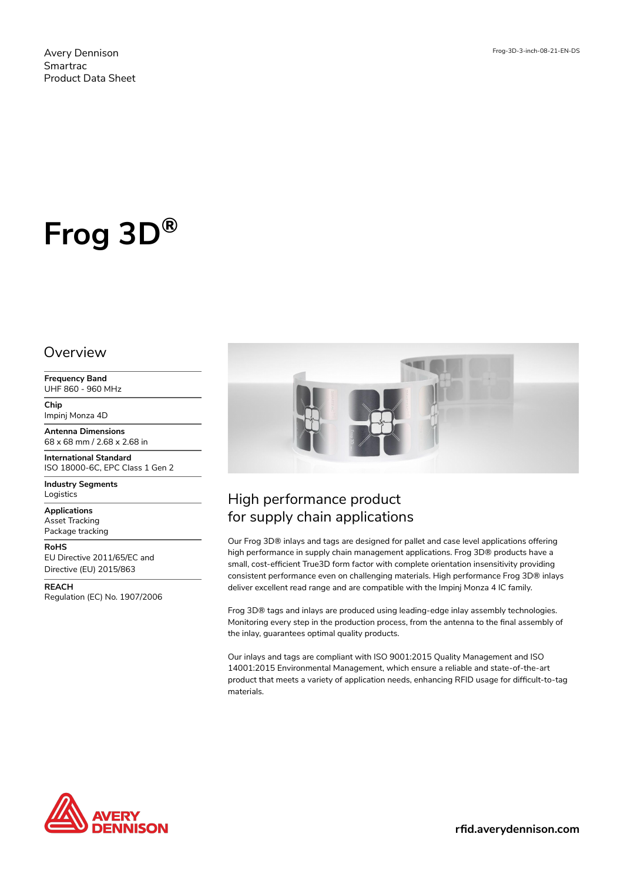Avery Dennison Smartrac Product Data Sheet

# **Frog 3D®**

#### Overview

**Frequency Band** UHF 860 - 960 MHz

**Chip** Impinj Monza 4D

**Antenna Dimensions** 68 x 68 mm / 2.68 x 2.68 in

**International Standard** ISO 18000-6C, EPC Class 1 Gen 2

**Industry Segments** Logistics

**Applications** Asset Tracking Package tracking

**RoHS** EU Directive 2011/65/EC and

Directive (EU) 2015/863 **REACH**

Regulation (EC) No. 1907/2006



## High performance product for supply chain applications

Our Frog 3D® inlays and tags are designed for pallet and case level applications offering high performance in supply chain management applications. Frog 3D® products have a small, cost-efficient True3D form factor with complete orientation insensitivity providing consistent performance even on challenging materials. High performance Frog 3D® inlays deliver excellent read range and are compatible with the Impinj Monza 4 IC family.

Frog 3D® tags and inlays are produced using leading-edge inlay assembly technologies. Monitoring every step in the production process, from the antenna to the final assembly of the inlay, guarantees optimal quality products.

Our inlays and tags are compliant with ISO 9001:2015 Quality Management and ISO 14001:2015 Environmental Management, which ensure a reliable and state-of-the-art product that meets a variety of application needs, enhancing RFID usage for difficult-to-tag materials.